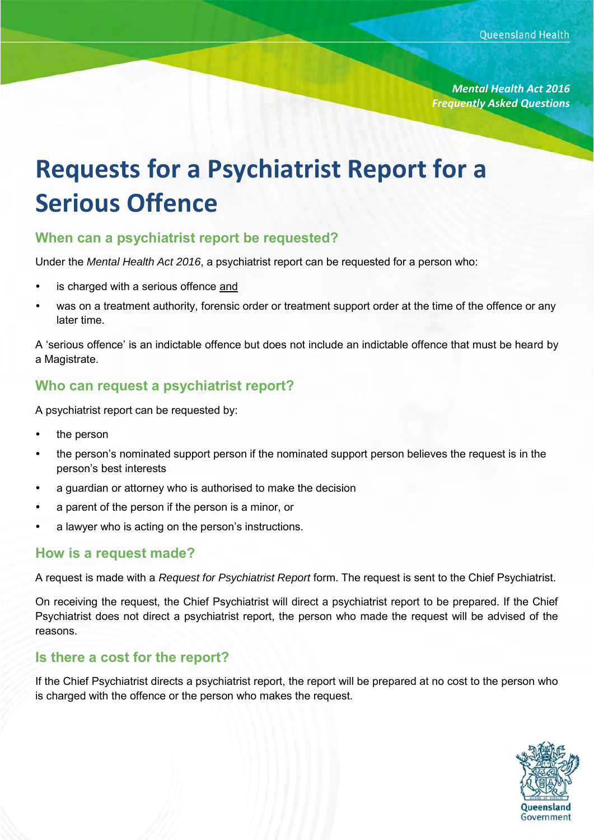*Mental Health Act 2016 Frequently Asked Questions*

# **Requests for a Psychiatrist Report for a Serious Offence**

### **When can a psychiatrist report be requested?**

Under the *Mental Health Act 2016*, a psychiatrist report can be requested for a person who:

- is charged with a serious offence and
- was on a treatment authority, forensic order or treatment support order at the time of the offence or any later time.

A 'serious offence' is an indictable offence but does not include an indictable offence that must be heard by a Magistrate.

# **Who can request a psychiatrist report?**

A psychiatrist report can be requested by:

- the person
- the person's nominated support person if the nominated support person believes the request is in the person's best interests
- a guardian or attorney who is authorised to make the decision
- a parent of the person if the person is a minor, or
- a lawyer who is acting on the person's instructions.

#### **How is a request made?**

A request is made with a *Request for Psychiatrist Report* form. The request is sent to the Chief Psychiatrist.

On receiving the request, the Chief Psychiatrist will direct a psychiatrist report to be prepared. If the Chief Psychiatrist does not direct a psychiatrist report, the person who made the request will be advised of the reasons.

#### **Is there a cost for the report?**

If the Chief Psychiatrist directs a psychiatrist report, the report will be prepared at no cost to the person who is charged with the offence or the person who makes the request.

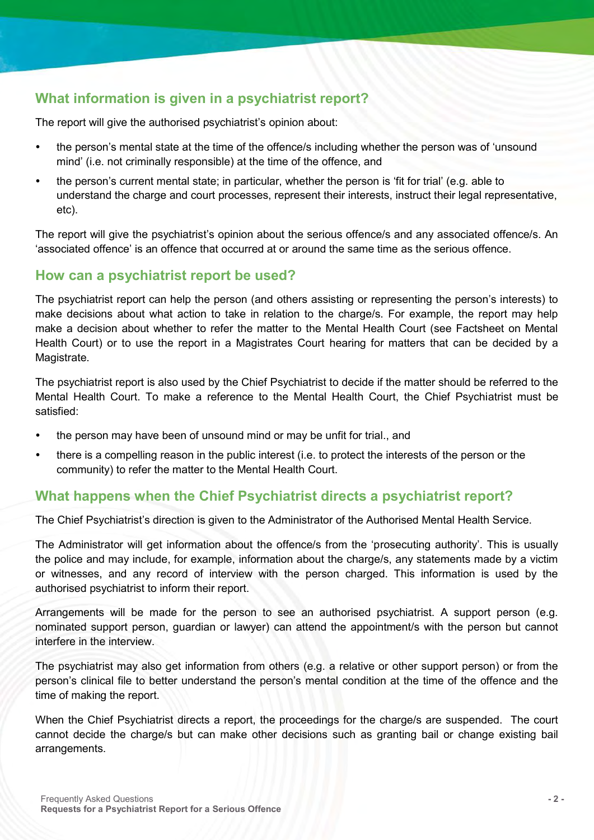# **What information is given in a psychiatrist report?**

The report will give the authorised psychiatrist's opinion about:

- the person's mental state at the time of the offence/s including whether the person was of 'unsound mind' (i.e. not criminally responsible) at the time of the offence, and
- the person's current mental state; in particular, whether the person is 'fit for trial' (e.g. able to understand the charge and court processes, represent their interests, instruct their legal representative, etc).

The report will give the psychiatrist's opinion about the serious offence/s and any associated offence/s. An 'associated offence' is an offence that occurred at or around the same time as the serious offence.

# **How can a psychiatrist report be used?**

The psychiatrist report can help the person (and others assisting or representing the person's interests) to make decisions about what action to take in relation to the charge/s. For example, the report may help make a decision about whether to refer the matter to the Mental Health Court (see Factsheet on Mental Health Court) or to use the report in a Magistrates Court hearing for matters that can be decided by a Magistrate.

The psychiatrist report is also used by the Chief Psychiatrist to decide if the matter should be referred to the Mental Health Court. To make a reference to the Mental Health Court, the Chief Psychiatrist must be satisfied:

- the person may have been of unsound mind or may be unfit for trial., and
- there is a compelling reason in the public interest (i.e. to protect the interests of the person or the community) to refer the matter to the Mental Health Court.

# **What happens when the Chief Psychiatrist directs a psychiatrist report?**

The Chief Psychiatrist's direction is given to the Administrator of the Authorised Mental Health Service.

The Administrator will get information about the offence/s from the 'prosecuting authority'. This is usually the police and may include, for example, information about the charge/s, any statements made by a victim or witnesses, and any record of interview with the person charged. This information is used by the authorised psychiatrist to inform their report.

Arrangements will be made for the person to see an authorised psychiatrist. A support person (e.g. nominated support person, guardian or lawyer) can attend the appointment/s with the person but cannot interfere in the interview.

The psychiatrist may also get information from others (e.g. a relative or other support person) or from the person's clinical file to better understand the person's mental condition at the time of the offence and the time of making the report.

When the Chief Psychiatrist directs a report, the proceedings for the charge/s are suspended. The court cannot decide the charge/s but can make other decisions such as granting bail or change existing bail arrangements.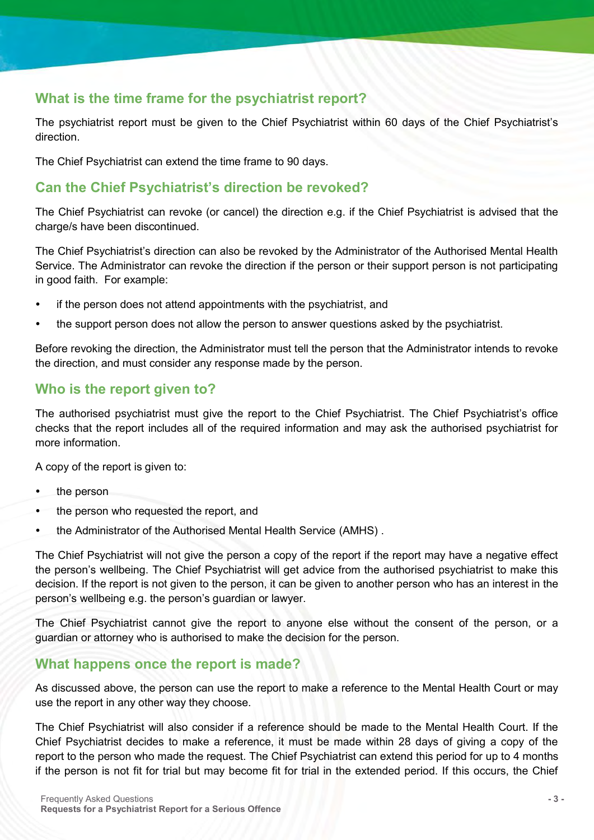# **What is the time frame for the psychiatrist report?**

The psychiatrist report must be given to the Chief Psychiatrist within 60 days of the Chief Psychiatrist's direction.

The Chief Psychiatrist can extend the time frame to 90 days.

# **Can the Chief Psychiatrist's direction be revoked?**

The Chief Psychiatrist can revoke (or cancel) the direction e.g. if the Chief Psychiatrist is advised that the charge/s have been discontinued.

The Chief Psychiatrist's direction can also be revoked by the Administrator of the Authorised Mental Health Service. The Administrator can revoke the direction if the person or their support person is not participating in good faith. For example:

- if the person does not attend appointments with the psychiatrist, and
- the support person does not allow the person to answer questions asked by the psychiatrist.

Before revoking the direction, the Administrator must tell the person that the Administrator intends to revoke the direction, and must consider any response made by the person.

# **Who is the report given to?**

The authorised psychiatrist must give the report to the Chief Psychiatrist. The Chief Psychiatrist's office checks that the report includes all of the required information and may ask the authorised psychiatrist for more information.

A copy of the report is given to:

- the person
- the person who requested the report, and
- the Administrator of the Authorised Mental Health Service (AMHS) .

The Chief Psychiatrist will not give the person a copy of the report if the report may have a negative effect the person's wellbeing. The Chief Psychiatrist will get advice from the authorised psychiatrist to make this decision. If the report is not given to the person, it can be given to another person who has an interest in the person's wellbeing e.g. the person's guardian or lawyer.

The Chief Psychiatrist cannot give the report to anyone else without the consent of the person, or a guardian or attorney who is authorised to make the decision for the person.

#### **What happens once the report is made?**

As discussed above, the person can use the report to make a reference to the Mental Health Court or may use the report in any other way they choose.

The Chief Psychiatrist will also consider if a reference should be made to the Mental Health Court. If the Chief Psychiatrist decides to make a reference, it must be made within 28 days of giving a copy of the report to the person who made the request. The Chief Psychiatrist can extend this period for up to 4 months if the person is not fit for trial but may become fit for trial in the extended period. If this occurs, the Chief